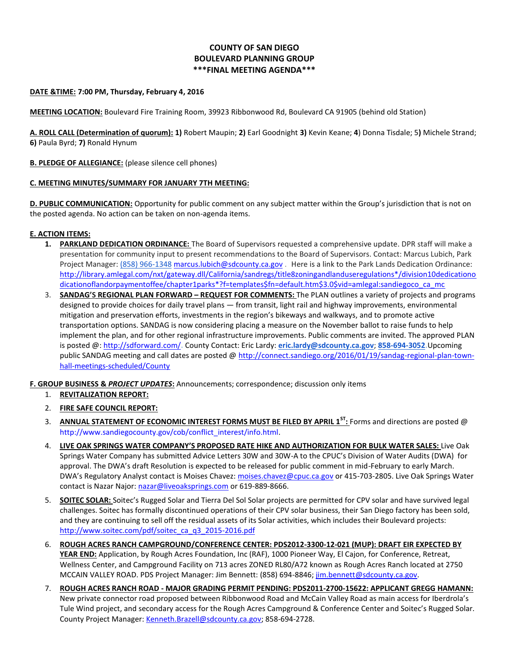# **COUNTY OF SAN DIEGO BOULEVARD PLANNING GROUP \*\*\*FINAL MEETING AGENDA\*\*\***

### **DATE &TIME: 7:00 PM, Thursday, February 4, 2016**

**MEETING LOCATION:** Boulevard Fire Training Room, 39923 Ribbonwood Rd, Boulevard CA 91905 (behind old Station)

**A. ROLL CALL (Determination of quorum): 1)** Robert Maupin; **2)** Earl Goodnight **3)** Kevin Keane; **4**) Donna Tisdale; 5**)** Michele Strand; **6)** Paula Byrd; **7)** Ronald Hynum

# **B. PLEDGE OF ALLEGIANCE:** (please silence cell phones)

# **C. MEETING MINUTES/SUMMARY FOR JANUARY 7TH MEETING:**

**D. PUBLIC COMMUNICATION:** Opportunity for public comment on any subject matter within the Group's jurisdiction that is not on the posted agenda. No action can be taken on non-agenda items.

# **E. ACTION ITEMS:**

- **1. PARKLAND DEDICATION ORDINANCE:** The Board of Supervisors requested a comprehensive update. DPR staff will make a presentation for community input to present recommendations to the Board of Supervisors. Contact: Marcus Lubich, Park Project Manager[: \(858\) 966-1348](tel:%28858%29%20966-1348) [marcus.lubich@sdcounty.ca.gov](mailto:marcus.lubich@sdcounty.ca.gov) . Here is a link to the Park Lands Dedication Ordinance: [http://library.amlegal.com/nxt/gateway.dll/California/sandregs/title8zoningandlanduseregulations\\*/division10dedicationo](http://library.amlegal.com/nxt/gateway.dll/California/sandregs/title8zoningandlanduseregulations*/division10dedicationoflandorpaymentoffee/chapter1parks*?f=templates$fn=default.htm$3.0$vid=amlegal:sandiegoco_ca_mc%20SANDAG) [dicationoflandorpaymentoffee/chapter1parks\\*?f=templates\\$fn=default.htm\\$3.0\\$vid=amlegal:sandiegoco\\_ca\\_mc](http://library.amlegal.com/nxt/gateway.dll/California/sandregs/title8zoningandlanduseregulations*/division10dedicationoflandorpaymentoffee/chapter1parks*?f=templates$fn=default.htm$3.0$vid=amlegal:sandiegoco_ca_mc%20SANDAG)
- 3. **[SANDAG](http://library.amlegal.com/nxt/gateway.dll/California/sandregs/title8zoningandlanduseregulations*/division10dedicationoflandorpaymentoffee/chapter1parks*?f=templates$fn=default.htm$3.0$vid=amlegal:sandiegoco_ca_mc%20SANDAG)'S REGIONAL PLAN FORWARD – REQUEST FOR COMMENTS:** The PLAN outlines a variety of projects and programs designed to provide choices for daily travel plans — from transit, light rail and highway improvements, environmental mitigation and preservation efforts, investments in the region's bikeways and walkways, and to promote active transportation options. SANDAG is now considering placing a measure on the November ballot to raise funds to help implement the plan, and for other regional infrastructure improvements. Public comments are invited. The approved PLAN is posted @[: http://sdforward.com/](http://sdforward.com/)**.** County Contact: Eric Lardy: **[eric.lardy@sdcounty.ca.gov](mailto:eric.lardy@sdcounty.ca.gov)**; **[858-694-3052.](tel:858-694-3052)**Upcoming public SANDAG meeting and call dates are posted @ [http://connect.sandiego.org/2016/01/19/sandag-regional-plan-town](http://connect.sandiego.org/2016/01/19/sandag-regional-plan-town-hall-meetings-scheduled/County)[hall-meetings-scheduled/County](http://connect.sandiego.org/2016/01/19/sandag-regional-plan-town-hall-meetings-scheduled/County)

**F. GROUP BUSINESS &** *PROJECT UPDATES***:** Announcements; correspondence; discussion only items

- 1. **REVITALIZATION REPORT:**
- 2. **FIRE SAFE COUNCIL REPORT:**
- 3. **ANNUAL STATEMENT OF ECONOMIC INTEREST FORMS MUST BE FILED BY APRIL 1ST :** Forms and directions are posted @ [http://www.sandiegocounty.gov/cob/conflict\\_interest/info.html.](http://www.sandiegocounty.gov/cob/conflict_interest/info.html)
- 4. **LIVE OAK SPRINGS WATER COMPANY'S PROPOSED RATE HIKE AND AUTHORIZATION FOR BULK WATER SALES:** Live Oak Springs Water Company has submitted Advice Letters 30W and 30W-A to the CPUC's Division of Water Audits (DWA) for approval. The DWA's draft Resolution is expected to be released for public comment in mid-February to early March. DWA's Regulatory Analyst contact is Moises Chavez: [moises.chavez@cpuc.ca.gov](mailto:moises.chavez@cpuc.ca.gov) or 415-703-2805. Live Oak Springs Water contact is Nazar Najor[: nazar@liveoaksprings.com](mailto:nazar@liveoaksprings.com) or 619-889-8666.
- 5. **SOITEC SOLAR:** Soitec's Rugged Solar and Tierra Del Sol Solar projects are permitted for CPV solar and have survived legal challenges. Soitec has formally discontinued operations of their CPV solar business, their San Diego factory has been sold, and they are continuing to sell off the residual assets of its Solar activities, which includes their Boulevard projects: [http://www.soitec.com/pdf/soitec\\_ca\\_q3\\_2015-2016.pdf](http://www.soitec.com/pdf/soitec_ca_q3_2015-2016.pdf)
- 6. **ROUGH ACRES RANCH CAMPGROUND/CONFERENCE CENTER: PDS2012-3300-12-021 (MUP): DRAFT EIR EXPECTED BY YEAR END:** Application, by Rough Acres Foundation, Inc (RAF), 1000 Pioneer Way, El Cajon, for Conference, Retreat, Wellness Center, and Campground Facility on 713 acres ZONED RL80/A72 known as Rough Acres Ranch located at 2750 MCCAIN VALLEY ROAD. PDS Project Manager: Jim Bennett: (858) 694-8846; [jim.bennett@sdcounty.ca.gov.](mailto:jim.bennett@sdcounty.ca.gov)
- 7. **ROUGH ACRES RANCH ROAD - MAJOR GRADING PERMIT PENDING: PDS2011-2700-15622: APPLICANT GREGG HAMANN:** New private connector road proposed between Ribbonwood Road and McCain Valley Road as main access for Iberdrola's Tule Wind project, and secondary access for the Rough Acres Campground & Conference Center and Soitec's Rugged Solar. County Project Manager: [Kenneth.Brazell@sdcounty.ca.gov;](mailto:Kenneth.Brazell@sdcounty.ca.gov) 858-694-2728.